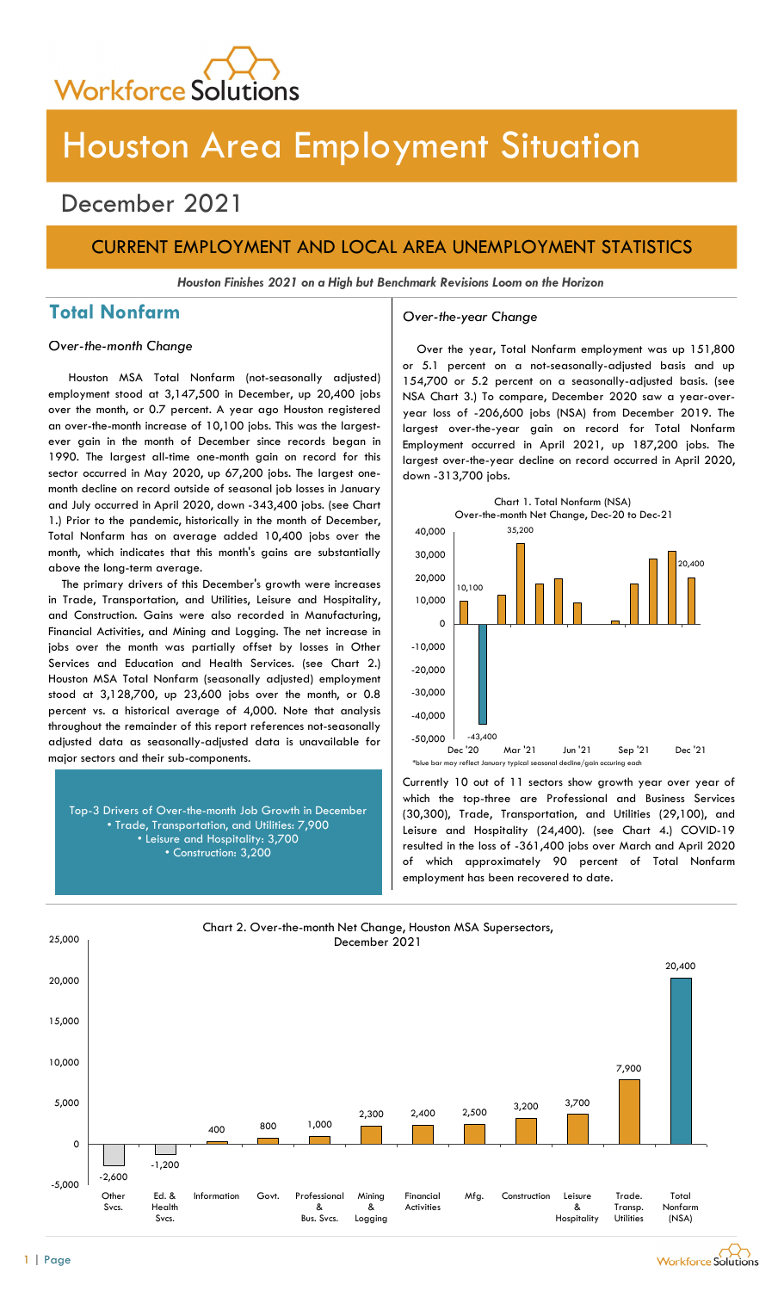

# Houston Area Employment Situation

## December 2021

## CURRENT EMPLOYMENT AND LOCAL AREA UNEMPLOYMENT STATISTICS

Houston Finishes 2021 on a High but Benchmark Revisions Loom on the Horizon

## Total Nonfarm and Over-the-year Change

Houston MSA Total Nonfarm (not-seasonally adjusted) employment stood at 3,147,500 in December, up 20,400 jobs over the month, or 0.7 percent. A year ago Houston registered an over-the-month increase of 10,100 jobs. This was the largestever gain in the month of December since records began in 1990. The largest all-time one-month gain on record for this sector occurred in May 2020, up 67,200 jobs. The largest onemonth decline on record outside of seasonal job losses in January and July occurred in April 2020, down -343,400 jobs. (see Chart 1.) Prior to the pandemic, historically in the month of December, Total Nonfarm has on average added 10,400 jobs over the month, which indicates that this month's gains are substantially above the long-term average.

The primary drivers of this December's growth were increases in Trade, Transportation, and Utilities, Leisure and Hospitality, and Construction. Gains were also recorded in Manufacturing, Financial Activities, and Mining and Logging. The net increase in jobs over the month was partially offset by losses in Other Services and Education and Health Services. (see Chart 2.) Houston MSA Total Nonfarm (seasonally adjusted) employment stood at 3,128,700, up 23,600 jobs over the month, or 0.8 percent vs. a historical average of 4,000. Note that analysis throughout the remainder of this report references not-seasonally adjusted data as seasonally-adjusted data is unavailable for major sectors and their sub-components.

Top-3 Drivers of Over-the-month Job Growth in December • Trade, Transportation, and Utilities: 7,900 • Leisure and Hospitality: 3,700 • Construction: 3,200

Over-the-month Change Change Cover the year, Total Nonfarm employment was up 151,800 or 5.1 percent on a not-seasonally-adjusted basis and up 154,700 or 5.2 percent on a seasonally-adjusted basis. (see NSA Chart 3.) To compare, December 2020 saw a year-overyear loss of -206,600 jobs (NSA) from December 2019. The largest over-the-year gain on record for Total Nonfarm Employment occurred in April 2021, up 187,200 jobs. The largest over-the-year decline on record occurred in April 2020, down -313,700 jobs.



Currently 10 out of 11 sectors show growth year over year of which the top-three are Professional and Business Services (30,300), Trade, Transportation, and Utilities (29,100), and Leisure and Hospitality (24,400). (see Chart 4.) COVID-19 resulted in the loss of -361,400 jobs over March and April 2020 of which approximately 90 percent of Total Nonfarm employment has been recovered to date.

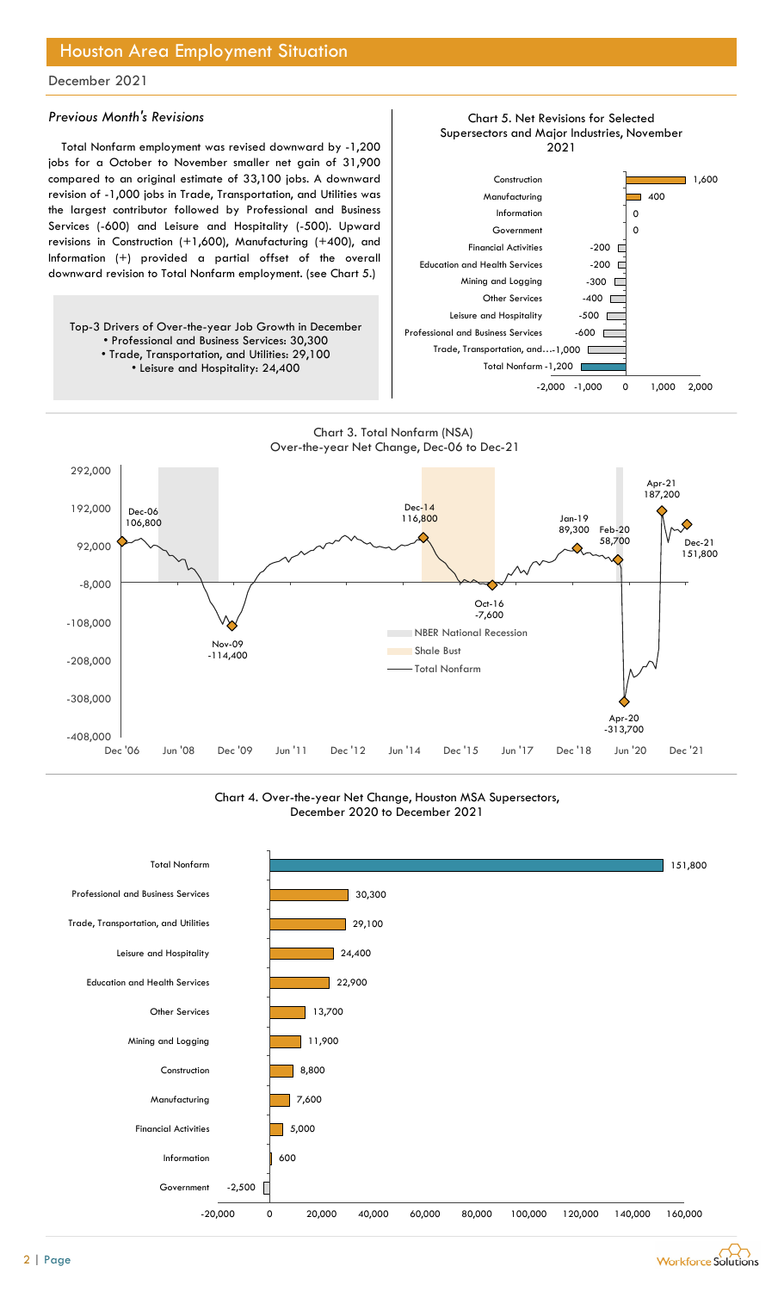## Houston Area Employment Situation

### December 2021

### Previous Month's Revisions

Total Nonfarm employment was revised downward by -1,200 jobs for a October to November smaller net gain of 31,900 compared to an original estimate of 33,100 jobs. A downward revision of -1,000 jobs in Trade, Transportation, and Utilities was the largest contributor followed by Professional and Business Services (-600) and Leisure and Hospitality (-500). Upward revisions in Construction (+1,600), Manufacturing (+400), and Information (+) provided a partial offset of the overall downward revision to Total Nonfarm employment. (see Chart 5.)

Top-3 Drivers of Over-the-year Job Growth in December • Professional and Business Services: 30,300 • Trade, Transportation, and Utilities: 29,100 • Leisure and Hospitality: 24,400



Chart 5. Net Revisions for Selected

#### Chart 3. Total Nonfarm (NSA) Over-the-year Net Change, Dec-06 to Dec-21



### Chart 4. Over-the-year Net Change, Houston MSA Supersectors, December 2020 to December 2021



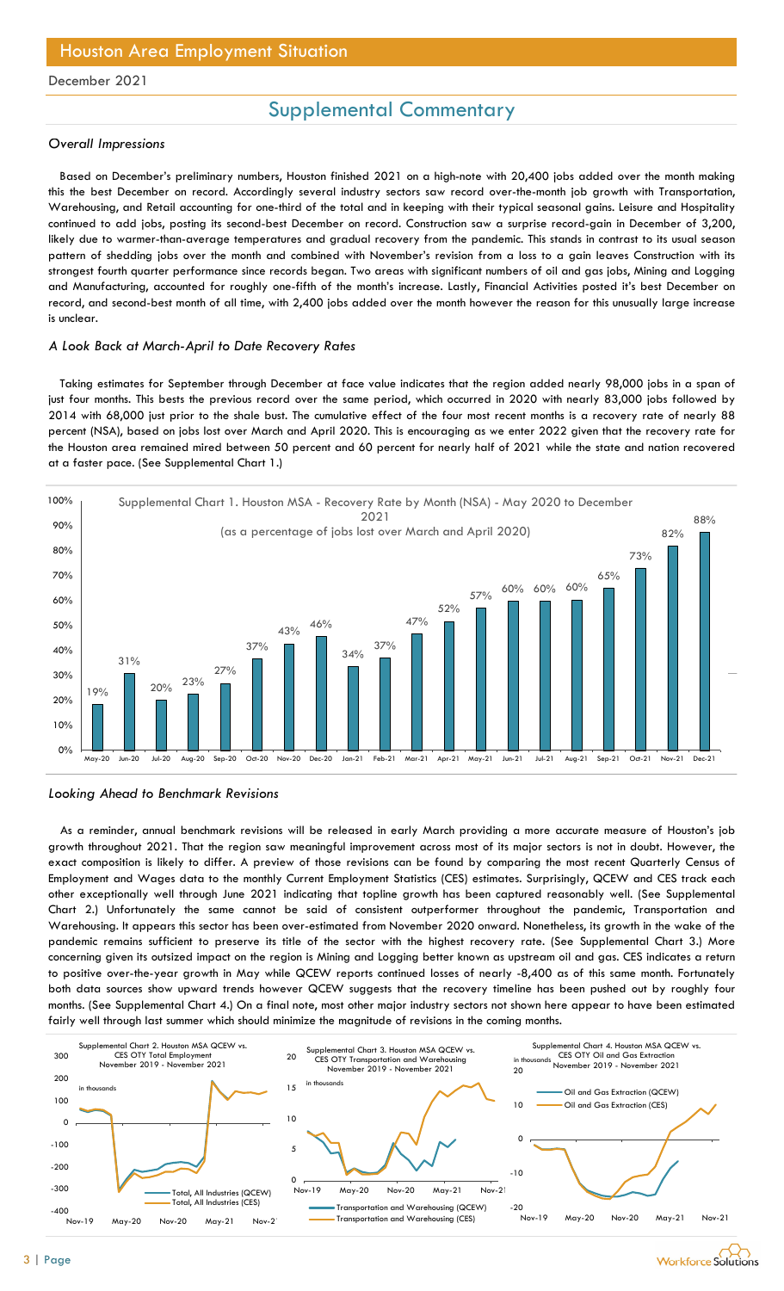## Houston Area Employment Situation

#### December 2021

## Supplemental Commentary

#### Overall Impressions

Based on December's preliminary numbers, Houston finished 2021 on a high-note with 20,400 jobs added over the month making this the best December on record. Accordingly several industry sectors saw record over-the-month job growth with Transportation, Warehousing, and Retail accounting for one-third of the total and in keeping with their typical seasonal gains. Leisure and Hospitality continued to add jobs, posting its second-best December on record. Construction saw a surprise record-gain in December of 3,200, likely due to warmer-than-average temperatures and gradual recovery from the pandemic. This stands in contrast to its usual season pattern of shedding jobs over the month and combined with November's revision from a loss to a gain leaves Construction with its strongest fourth quarter performance since records began. Two areas with significant numbers of oil and gas jobs, Mining and Logging and Manufacturing, accounted for roughly one-fifth of the month's increase. Lastly, Financial Activities posted it's best December on record, and second-best month of all time, with 2,400 jobs added over the month however the reason for this unusually large increase is unclear. Exercise is preminmal promines in the direct of the forted minimal control in the stretch of the control in the stretch of the control in the control of the stretch of the forted in a control of the forted in a because of

#### A Look Back at March-April to Date Recovery Rates

Taking estimates for September through December at face value indicates that the region added nearly 98,000 jobs in a span of just four months. This bests the previous record over the same period, which occurred in 2020 with nearly 83,000 jobs followed by 2014 with 68,000 just prior to the shale bust. The cumulative effect of the four most recent months is a recovery rate of nearly 88 percent (NSA), based on jobs lost over March and April 2020. This is encouraging as we enter 2022 given that the recovery rate for the Houston area remained mired between 50 percent and 60 percent for nearly half of 2021 while the state and nation recovered at a faster pace. (See Supplemental Chart 1.)





As a reminder, annual benchmark revisions will be released in early March providing a more accurate measure of Houston's job growth throughout 2021. That the region saw meaningful improvement across most of its major sectors is not in doubt. However, the exact composition is likely to differ. A preview of those revisions can be found by comparing the most recent Quarterly Census of Employment and Wages data to the monthly Current Employment Statistics (CES) estimates. Surprisingly, QCEW and CES track each other exceptionally well through June 2021 indicating that topline growth has been captured reasonably well. (See Supplemental Chart 2.) Unfortunately the same cannot be said of consistent outperformer throughout the pandemic, Transportation and Warehousing. It appears this sector has been over-estimated from November 2020 onward. Nonetheless, its growth in the wake of the pandemic remains sufficient to preserve its title of the sector with the highest recovery rate. (See Supplemental Chart 3.) More concerning given its outsized impact on the region is Mining and Logging better known as upstream oil and gas. CES indicates a return to positive over-the-year growth in May while QCEW reports continued losses of nearly -8,400 as of this same month. Fortunately both data sources show upward trends however QCEW suggests that the recovery timeline has been pushed out by roughly four months. (See Supplemental Chart 4.) On a final note, most other major industry sectors not shown here appear to have been estimated fairly well through last summer which should minimize the magnitude of revisions in the coming months. 20  $\frac{1}{200}$   $\frac{1}{200}$   $\frac{1}{200}$   $\frac{1}{200}$   $\frac{1}{200}$   $\frac{1}{200}$   $\frac{1}{200}$   $\frac{1}{200}$   $\frac{1}{200}$   $\frac{1}{200}$   $\frac{1}{200}$   $\frac{1}{200}$   $\frac{1}{200}$   $\frac{1}{200}$   $\frac{1}{200}$   $\frac{1}{200}$   $\frac{1}{200}$   $\frac{1}{200}$   $\$  $\frac{1}{2}$   $\frac{1}{2}$   $\frac{1}{2}$   $\frac{1}{2}$   $\frac{1}{2}$   $\frac{1}{2}$   $\frac{1}{2}$   $\frac{1}{2}$   $\frac{1}{2}$   $\frac{1}{2}$   $\frac{1}{2}$   $\frac{1}{2}$   $\frac{1}{2}$   $\frac{1}{2}$   $\frac{1}{2}$   $\frac{1}{2}$   $\frac{1}{2}$   $\frac{1}{2}$   $\frac{1}{2}$   $\frac{1}{2}$   $\frac{1}{2}$   $\frac{1}{2}$  Aug-21 Sep-21 Oct-21 Nov-21 Dec-21<br>
Aug-21 Sep-21 Oct-21 Nov-21 Dec-21<br>
accurate measure of Houston's job<br>
ectors is not in doubt. However, the<br>
lemost recent Quarterly Census of<br>
isingly, QCEW and CES track each<br>
ecsonabl

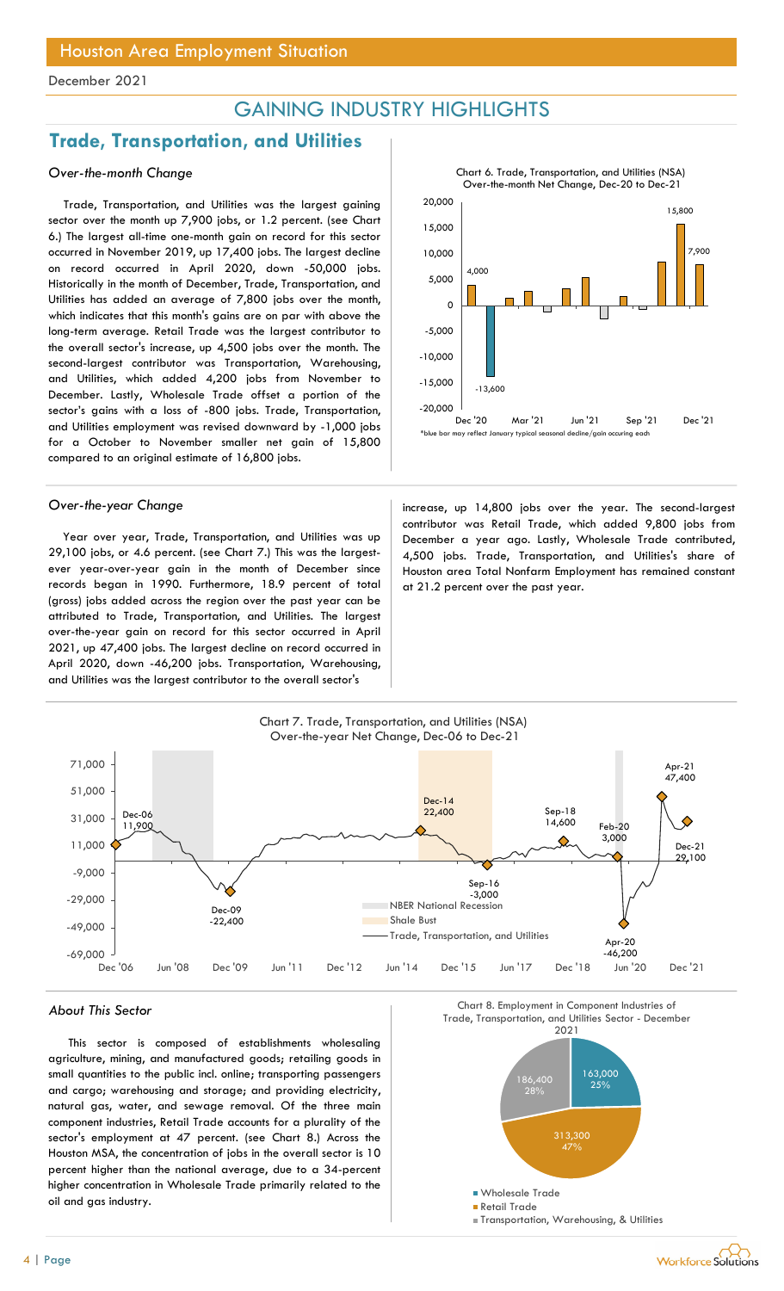## GAINING INDUSTRY HIGHLIGHTS

## Trade, Transportation, and Utilities

## Over-the-month Change

Trade, Transportation, and Utilities was the largest gaining sector over the month up 7,900 jobs, or 1.2 percent. (see Chart 6.) The largest all-time one-month gain on record for this sector occurred in November 2019, up 17,400 jobs. The largest decline on record occurred in April 2020, down -50,000 jobs. Historically in the month of December, Trade, Transportation, and Utilities has added an average of 7,800 jobs over the month, which indicates that this month's gains are on par with above the long-term average. Retail Trade was the largest contributor to the overall sector's increase, up 4,500 jobs over the month. The second-largest contributor was Transportation, Warehousing, and Utilities, which added 4,200 jobs from November to December. Lastly, Wholesale Trade offset a portion of the sector's gains with a loss of -800 jobs. Trade, Transportation, and Utilities employment was revised downward by -1,000 jobs for a October to November smaller net gain of 15,800 compared to an original estimate of 16,800 jobs.

Year over year, Trade, Transportation, and Utilities was up 29,100 jobs, or 4.6 percent. (see Chart 7.) This was the largestever year-over-year gain in the month of December since records began in 1990. Furthermore, 18.9 percent of total (gross) jobs added across the region over the past year can be attributed to Trade, Transportation, and Utilities. The largest over-the-year gain on record for this sector occurred in April 2021, up 47,400 jobs. The largest decline on record occurred in April 2020, down -46,200 jobs. Transportation, Warehousing, and Utilities was the largest contributor to the overall sector's



Over-the-year Change increase, up 14,800 jobs over the year. The second-largest contributor was Retail Trade, which added 9,800 jobs from December a year ago. Lastly, Wholesale Trade contributed, 4,500 jobs. Trade, Transportation, and Utilities's share of Houston area Total Nonfarm Employment has remained constant at 21.2 percent over the past year.



This sector is composed of establishments wholesaling agriculture, mining, and manufactured goods; retailing goods in small quantities to the public incl. online; transporting passengers and cargo; warehousing and storage; and providing electricity, natural gas, water, and sewage removal. Of the three main component industries, Retail Trade accounts for a plurality of the sector's employment at 47 percent. (see Chart 8.) Across the Houston MSA, the concentration of jobs in the overall sector is 10 percent higher than the national average, due to a 34-percent higher concentration in Wholesale Trade primarily related to the oil and gas industry.

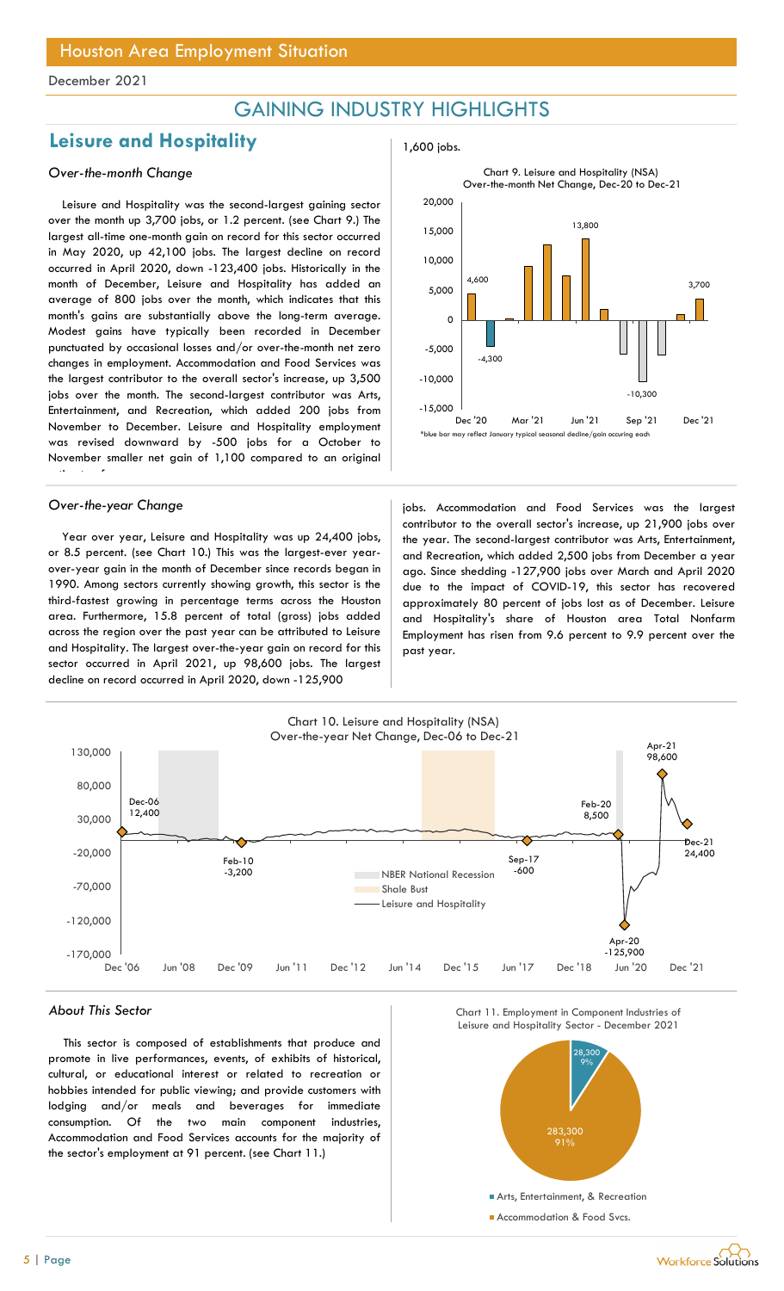## GAINING INDUSTRY HIGHLIGHTS

## Leisure and Hospitality **1,600** jobs.

## Over-the-month Change

Leisure and Hospitality was the second-largest gaining sector over the month up 3,700 jobs, or 1.2 percent. (see Chart 9.) The largest all-time one-month gain on record for this sector occurred in May 2020, up 42,100 jobs. The largest decline on record occurred in April 2020, down -123,400 jobs. Historically in the month of December, Leisure and Hospitality has added an average of 800 jobs over the month, which indicates that this month's gains are substantially above the long-term average. Modest gains have typically been recorded in December punctuated by occasional losses and/or over-the-month net zero changes in employment. Accommodation and Food Services was the largest contributor to the overall sector's increase, up 3,500 jobs over the month. The second-largest contributor was Arts, Entertainment, and Recreation, which added 200 jobs from November to December. Leisure and Hospitality employment was revised downward by -500 jobs for a October to November smaller net gain of 1,100 compared to an original estimate of

Year over year, Leisure and Hospitality was up 24,400 jobs, or 8.5 percent. (see Chart 10.) This was the largest-ever yearover-year gain in the month of December since records began in 1990. Among sectors currently showing growth, this sector is the third-fastest growing in percentage terms across the Houston area. Furthermore, 15.8 percent of total (gross) jobs added across the region over the past year can be attributed to Leisure and Hospitality. The largest over-the-year gain on record for this sector occurred in April 2021, up 98,600 jobs. The largest decline on record occurred in April 2020, down -125,900





Over-the-year Change in the service of the services was the largest in the largest over-the-year Changes of the largest contributor to the overall sector's increase, up 21,900 jobs over the year. The second-largest contributor was Arts, Entertainment, and Recreation, which added 2,500 jobs from December a year ago. Since shedding -127,900 jobs over March and April 2020 due to the impact of COVID-19, this sector has recovered approximately 80 percent of jobs lost as of December. Leisure and Hospitality's share of Houston area Total Nonfarm Employment has risen from 9.6 percent to 9.9 percent over the past year.



This sector is composed of establishments that produce and promote in live performances, events, of exhibits of historical, cultural, or educational interest or related to recreation or hobbies intended for public viewing; and provide customers with lodging and/or meals and beverages for immediate consumption. Of the two main component industries, Accommodation and Food Services accounts for the majority of the sector's employment at 91 percent. (see Chart 11.)





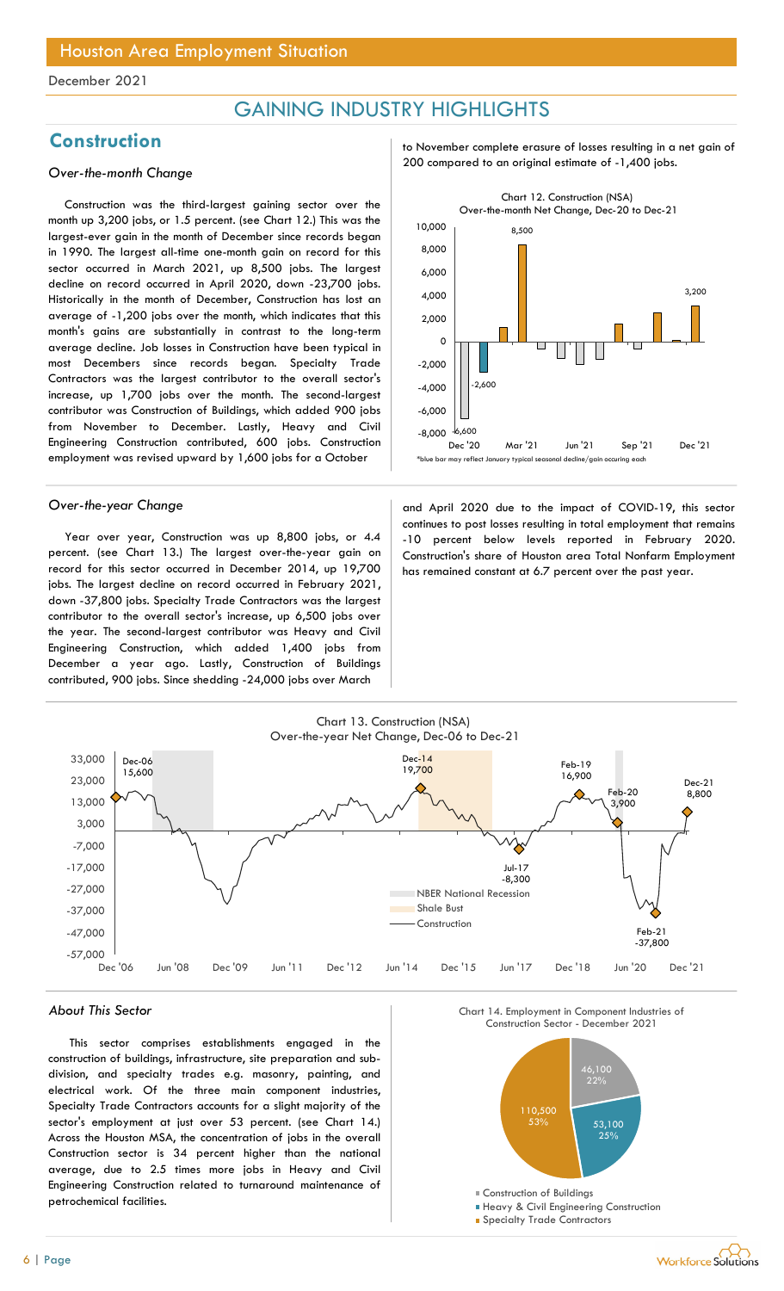## GAINING INDUSTRY HIGHLIGHTS

Construction was the third-largest gaining sector over the month up 3,200 jobs, or 1.5 percent. (see Chart 12.) This was the largest-ever gain in the month of December since records began in 1990. The largest all-time one-month gain on record for this sector occurred in March 2021, up 8,500 jobs. The largest decline on record occurred in April 2020, down -23,700 jobs. Historically in the month of December, Construction has lost an average of -1,200 jobs over the month, which indicates that this month's gains are substantially in contrast to the long-term average decline. Job losses in Construction have been typical in most Decembers since records began. Specialty Trade Contractors was the largest contributor to the overall sector's increase, up 1,700 jobs over the month. The second-largest contributor was Construction of Buildings, which added 900 jobs from November to December. Lastly, Heavy and Civil Engineering Construction contributed, 600 jobs. Construction employment was revised upward by 1,600 jobs for a October

Year over year, Construction was up 8,800 jobs, or 4.4 percent. (see Chart 13.) The largest over-the-year gain on record for this sector occurred in December 2014, up 19,700 jobs. The largest decline on record occurred in February 2021, down -37,800 jobs. Specialty Trade Contractors was the largest contributor to the overall sector's increase, up 6,500 jobs over the year. The second-largest contributor was Heavy and Civil Engineering Construction, which added 1,400 jobs from December a year ago. Lastly, Construction of Buildings contributed, 900 jobs. Since shedding -24,000 jobs over March

Construction to November complete erasure of losses resulting in a net gain of 200 compared to an original estimate of -1,400 jobs. Over-the-month Change



Over-the-year Change and April 2020 due to the impact of COVID-19, this sector continues to post losses resulting in total employment that remains -10 percent below levels reported in February 2020. Construction's share of Houston area Total Nonfarm Employment has remained constant at 6.7 percent over the past year.



### About This Sector

This sector comprises establishments engaged in the construction of buildings, infrastructure, site preparation and subdivision, and specialty trades e.g. masonry, painting, and electrical work. Of the three main component industries, Specialty Trade Contractors accounts for a slight majority of the sector's employment at just over 53 percent. (see Chart 14.) Across the Houston MSA, the concentration of jobs in the overall Construction sector is 34 percent higher than the national average, due to 2.5 times more jobs in Heavy and Civil Engineering Construction related to turnaround maintenance of petrochemical facilities.

Chart 14. Employment in Component Industries of



**Heavy & Civil Engineering Construction** 

**Specialty Trade Contractors** 

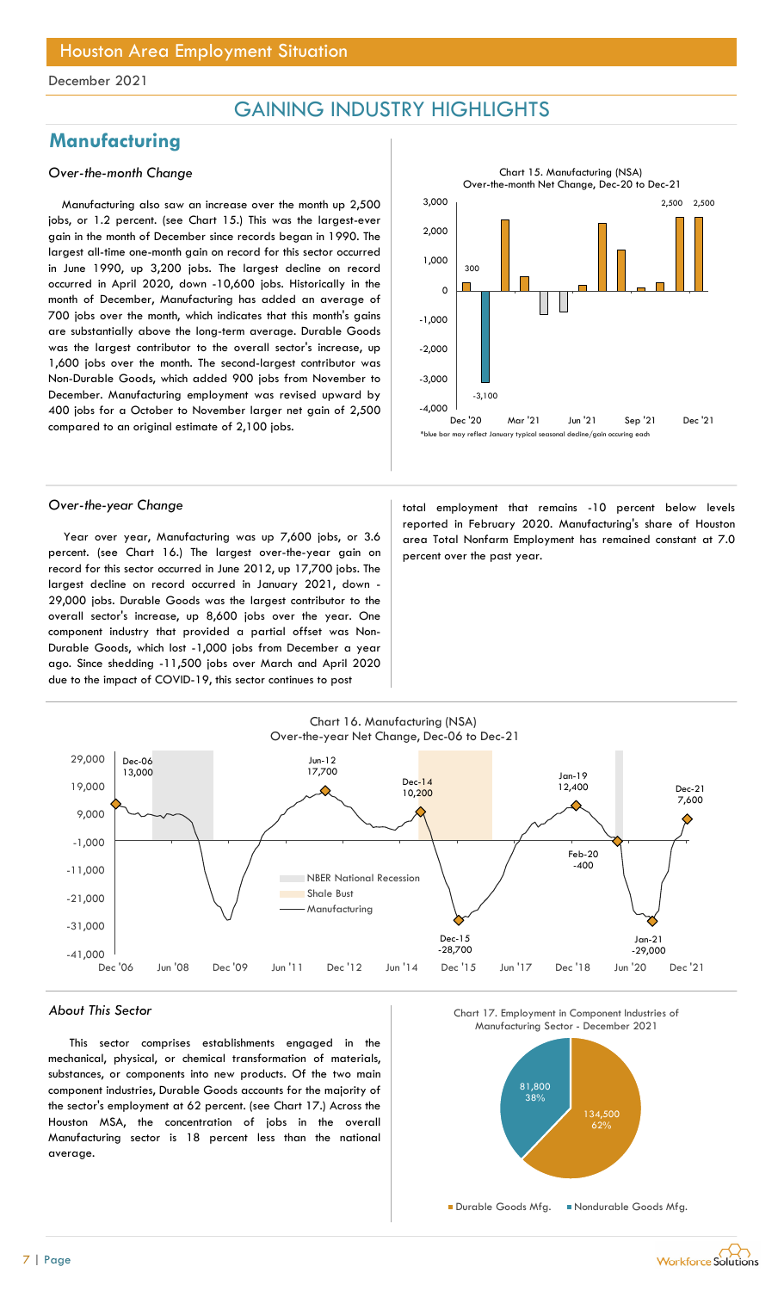## GAINING INDUSTRY HIGHLIGHTS

## **Manufacturing**

## Over-the-month Change

Manufacturing also saw an increase over the month up 2,500 jobs, or 1.2 percent. (see Chart 15.) This was the largest-ever gain in the month of December since records began in 1990. The largest all-time one-month gain on record for this sector occurred in June 1990, up 3,200 jobs. The largest decline on record occurred in April 2020, down -10,600 jobs. Historically in the month of December, Manufacturing has added an average of 700 jobs over the month, which indicates that this month's gains are substantially above the long-term average. Durable Goods was the largest contributor to the overall sector's increase, up 1,600 jobs over the month. The second-largest contributor was Non-Durable Goods, which added 900 jobs from November to December. Manufacturing employment was revised upward by 400 jobs for a October to November larger net gain of 2,500 compared to an original estimate of 2,100 jobs.



Year over year, Manufacturing was up 7,600 jobs, or 3.6 percent. (see Chart 16.) The largest over-the-year gain on record for this sector occurred in June 2012, up 17,700 jobs. The largest decline on record occurred in January 2021, down - 29,000 jobs. Durable Goods was the largest contributor to the overall sector's increase, up 8,600 jobs over the year. One component industry that provided a partial offset was Non-Durable Goods, which lost -1,000 jobs from December a year ago. Since shedding -11,500 jobs over March and April 2020 due to the impact of COVID-19, this sector continues to post

Over-the-year Change to the state of the total employment that remains -10 percent below levels reported in February 2020. Manufacturing's share of Houston area Total Nonfarm Employment has remained constant at 7.0 percent over the past year.



### About This Sector

This sector comprises establishments engaged in the mechanical, physical, or chemical transformation of materials, substances, or components into new products. Of the two main component industries, Durable Goods accounts for the majority of the sector's employment at 62 percent. (see Chart 17.) Across the Houston MSA, the concentration of jobs in the overall Manufacturing sector is 18 percent less than the national average.





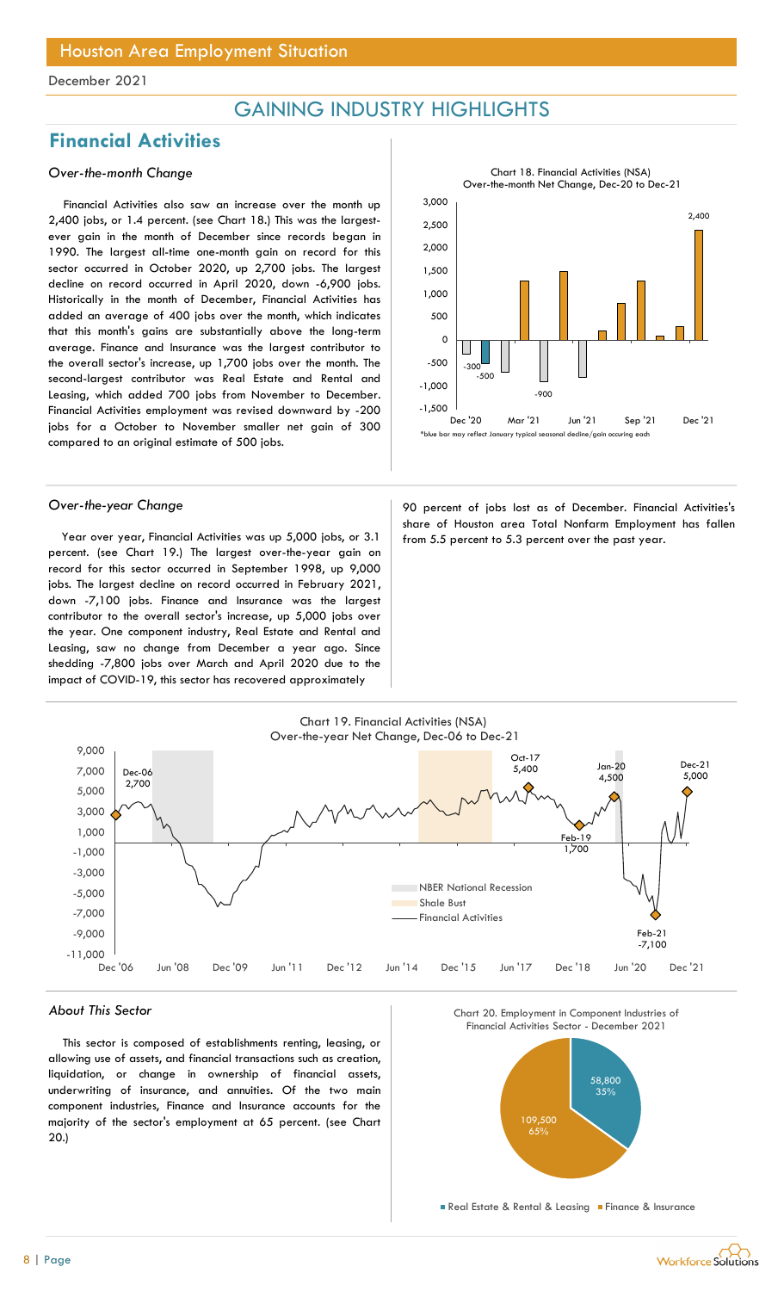## GAINING INDUSTRY HIGHLIGHTS

## Financial Activities

## Over-the-month Change

Financial Activities also saw an increase over the month up 2,400 jobs, or 1.4 percent. (see Chart 18.) This was the largestever gain in the month of December since records began in 1990. The largest all-time one-month gain on record for this sector occurred in October 2020, up 2,700 jobs. The largest decline on record occurred in April 2020, down -6,900 jobs. Historically in the month of December, Financial Activities has added an average of 400 jobs over the month, which indicates that this month's gains are substantially above the long-term average. Finance and Insurance was the largest contributor to the overall sector's increase, up 1,700 jobs over the month. The second-largest contributor was Real Estate and Rental and Leasing, which added 700 jobs from November to December. Financial Activities employment was revised downward by -200 jobs for a October to November smaller net gain of 300 compared to an original estimate of 500 jobs.

Year over year, Financial Activities was up 5,000 jobs, or 3.1 from 5.5 percent to 5.3 percent over the past year. percent. (see Chart 19.) The largest over-the-year gain on record for this sector occurred in September 1998, up 9,000 jobs. The largest decline on record occurred in February 2021, down -7,100 jobs. Finance and Insurance was the largest contributor to the overall sector's increase, up 5,000 jobs over the year. One component industry, Real Estate and Rental and Leasing, saw no change from December a year ago. Since shedding -7,800 jobs over March and April 2020 due to the impact of COVID-19, this sector has recovered approximately



Over-the-year Change entity and the series of percent of jobs lost as of December. Financial Activities's share of Houston area Total Nonfarm Employment has fallen



#### About This Sector

This sector is composed of establishments renting, leasing, or allowing use of assets, and financial transactions such as creation, liquidation, or change in ownership of financial assets, underwriting of insurance, and annuities. Of the two main component industries, Finance and Insurance accounts for the majority of the sector's employment at 65 percent. (see Chart 20.)

Chart\_C\_16 Chart 20. Employment in Component Industries of



**Real Estate & Rental & Leasing Finance & Insurance** 

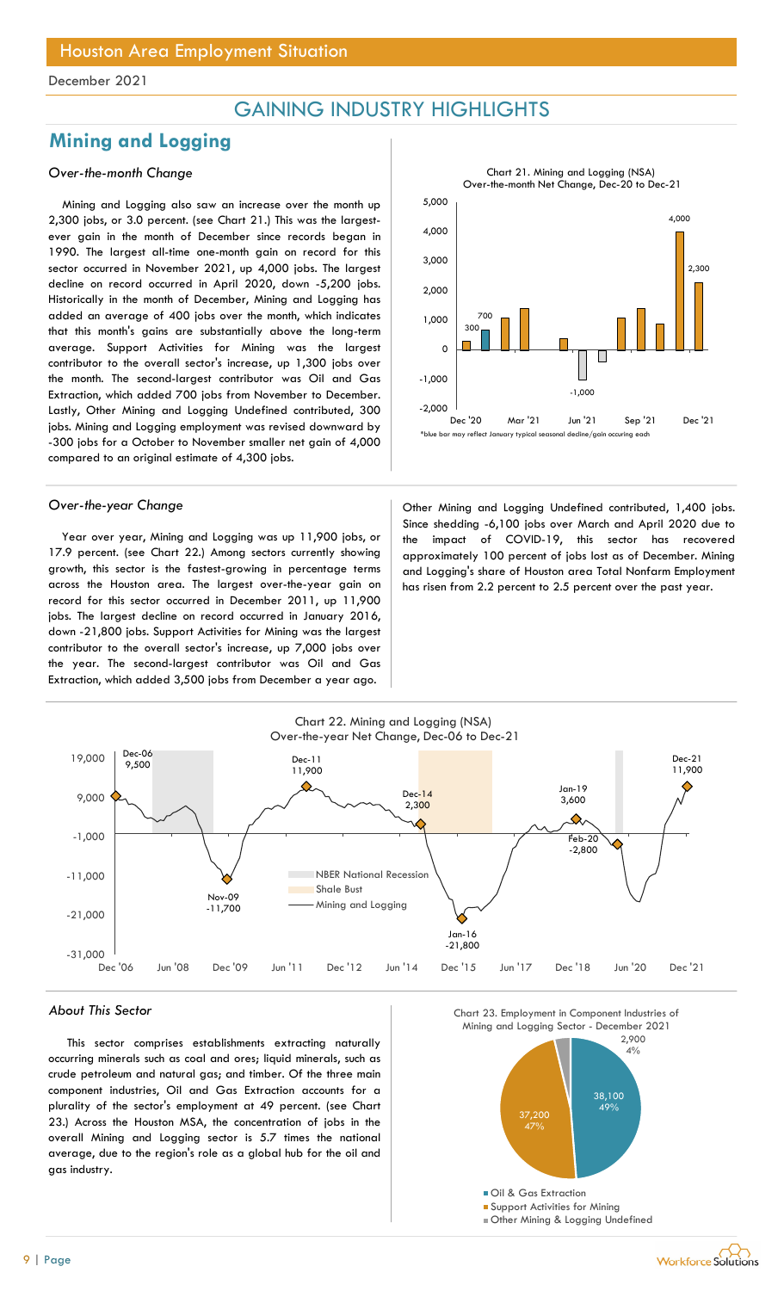## GAINING INDUSTRY HIGHLIGHTS

## Mining and Logging

## Over-the-month Change

Mining and Logging also saw an increase over the month up 2,300 jobs, or 3.0 percent. (see Chart 21.) This was the largestever gain in the month of December since records began in 1990. The largest all-time one-month gain on record for this sector occurred in November 2021, up 4,000 jobs. The largest decline on record occurred in April 2020, down -5,200 jobs. Historically in the month of December, Mining and Logging has added an average of 400 jobs over the month, which indicates that this month's gains are substantially above the long-term average. Support Activities for Mining was the largest contributor to the overall sector's increase, up 1,300 jobs over the month. The second-largest contributor was Oil and Gas Extraction, which added 700 jobs from November to December. Lastly, Other Mining and Logging Undefined contributed, 300 jobs. Mining and Logging employment was revised downward by -300 jobs for a October to November smaller net gain of 4,000 compared to an original estimate of 4,300 jobs.

Year over year, Mining and Logging was up 11,900 jobs, or 17.9 percent. (see Chart 22.) Among sectors currently showing growth, this sector is the fastest-growing in percentage terms across the Houston area. The largest over-the-year gain on record for this sector occurred in December 2011, up 11,900 jobs. The largest decline on record occurred in January 2016, down -21,800 jobs. Support Activities for Mining was the largest contributor to the overall sector's increase, up 7,000 jobs over the year. The second-largest contributor was Oil and Gas Extraction, which added 3,500 jobs from December a year ago.



Over-the-year Change **Other Mining and Logging Undefined contributed**, 1,400 jobs. Since shedding -6,100 jobs over March and April 2020 due to the impact of COVID-19, this sector has recovered approximately 100 percent of jobs lost as of December. Mining and Logging's share of Houston area Total Nonfarm Employment has risen from 2.2 percent to 2.5 percent over the past year.



#### About This Sector

This sector comprises establishments extracting naturally occurring minerals such as coal and ores; liquid minerals, such as crude petroleum and natural gas; and timber. Of the three main component industries, Oil and Gas Extraction accounts for a plurality of the sector's employment at 49 percent. (see Chart 23.) Across the Houston MSA, the concentration of jobs in the overall Mining and Logging sector is 5.7 times the national average, due to the region's role as a global hub for the oil and gas industry.



**Workforce Solutions**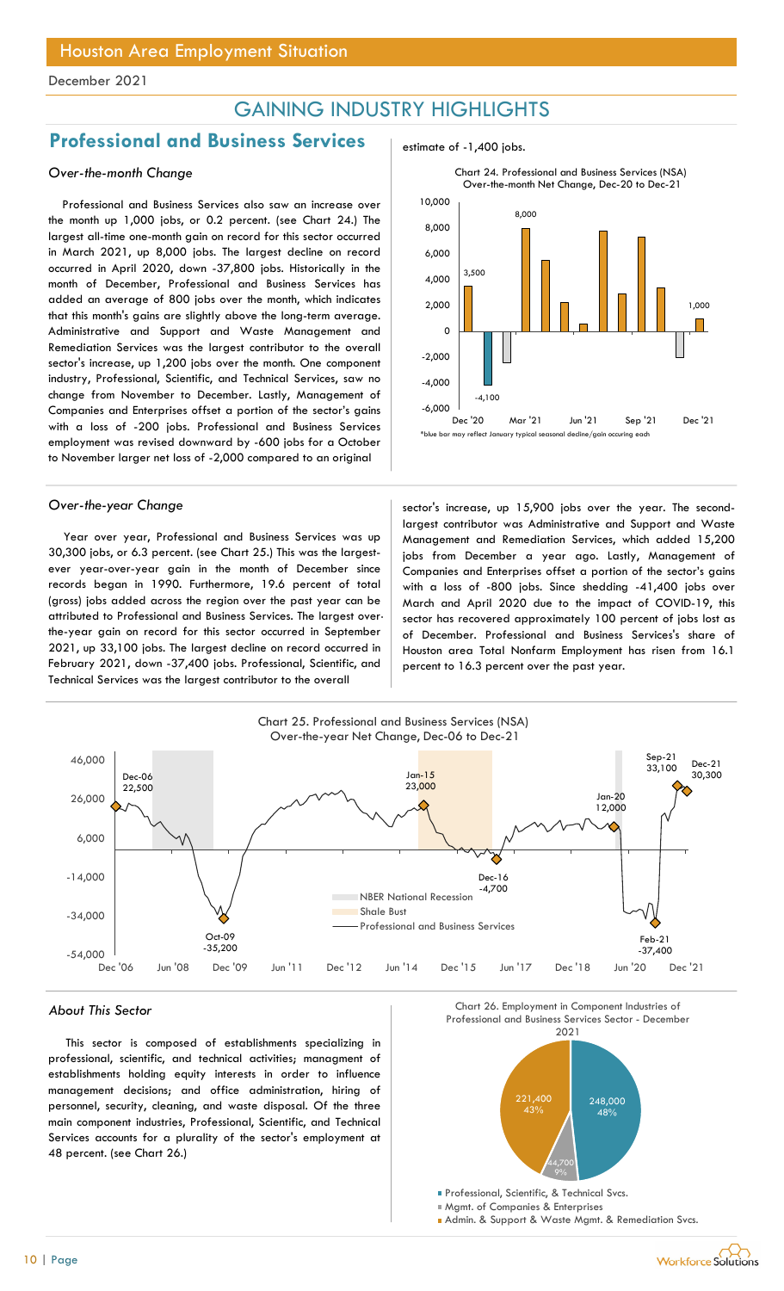## GAINING INDUSTRY HIGHLIGHTS

## Professional and Business Services and  $\overline{P}$  estimate of -1,400 jobs.

## Over-the-month Change

Professional and Business Services also saw an increase over the month up 1,000 jobs, or 0.2 percent. (see Chart 24.) The largest all-time one-month gain on record for this sector occurred in March 2021, up 8,000 jobs. The largest decline on record occurred in April 2020, down -37,800 jobs. Historically in the month of December, Professional and Business Services has added an average of 800 jobs over the month, which indicates that this month's gains are slightly above the long-term average. Administrative and Support and Waste Management and Remediation Services was the largest contributor to the overall sector's increase, up 1,200 jobs over the month. One component industry, Professional, Scientific, and Technical Services, saw no change from November to December. Lastly, Management of Companies and Enterprises offset a portion of the sector's gains with a loss of -200 jobs. Professional and Business Services employment was revised downward by -600 jobs for a October to November larger net loss of -2,000 compared to an original

Year over year, Professional and Business Services was up 30,300 jobs, or 6.3 percent. (see Chart 25.) This was the largestever year-over-year gain in the month of December since records began in 1990. Furthermore, 19.6 percent of total (gross) jobs added across the region over the past year can be attributed to Professional and Business Services. The largest overthe-year gain on record for this sector occurred in September 2021, up 33,100 jobs. The largest decline on record occurred in February 2021, down -37,400 jobs. Professional, Scientific, and Technical Services was the largest contributor to the overall





Over-the-year Change sector's increase, up 15,900 jobs over the year. The secondlargest contributor was Administrative and Support and Waste Management and Remediation Services, which added 15,200 jobs from December a year ago. Lastly, Management of Companies and Enterprises offset a portion of the sector's gains with a loss of -800 jobs. Since shedding -41,400 jobs over March and April 2020 due to the impact of COVID-19, this sector has recovered approximately 100 percent of jobs lost as of December. Professional and Business Services's share of Houston area Total Nonfarm Employment has risen from 16.1 percent to 16.3 percent over the past year.



This sector is composed of establishments specializing in professional, scientific, and technical activities; managment of establishments holding equity interests in order to influence management decisions; and office administration, hiring of personnel, security, cleaning, and waste disposal. Of the three main component industries, Professional, Scientific, and Technical Services accounts for a plurality of the sector's employment at 48 percent. (see Chart 26.)



Mgmt. of Companies & Enterprises

**Admin. & Support & Waste Mgmt. & Remediation Svcs.**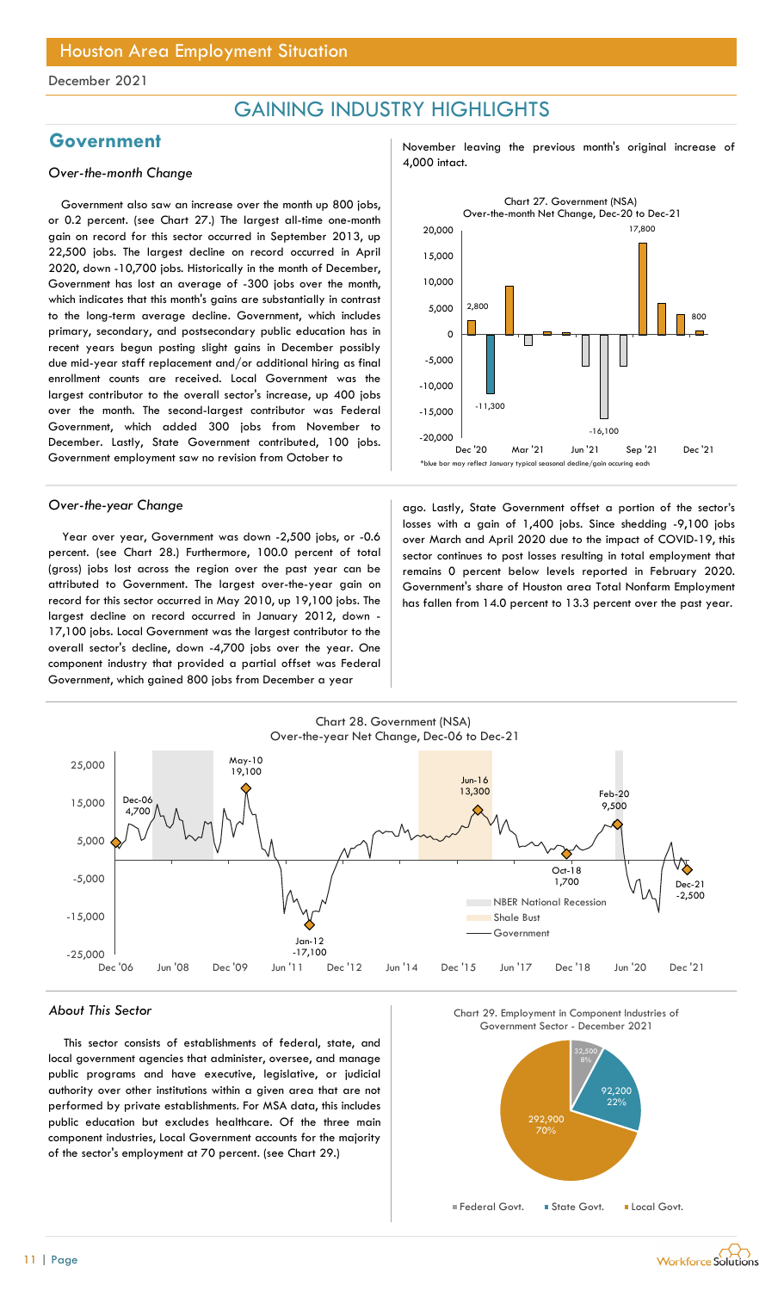## GAINING INDUSTRY HIGHLIGHTS

## 4,000 intact. Over-the-month Change

Government also saw an increase over the month up 800 jobs, or 0.2 percent. (see Chart 27.) The largest all-time one-month gain on record for this sector occurred in September 2013, up 22,500 jobs. The largest decline on record occurred in April 2020, down -10,700 jobs. Historically in the month of December, Government has lost an average of -300 jobs over the month, which indicates that this month's gains are substantially in contrast to the long-term average decline. Government, which includes primary, secondary, and postsecondary public education has in recent years begun posting slight gains in December possibly due mid-year staff replacement and/or additional hiring as final enrollment counts are received. Local Government was the largest contributor to the overall sector's increase, up 400 jobs over the month. The second-largest contributor was Federal Government, which added 300 jobs from November to December. Lastly, State Government contributed, 100 jobs. Government employment saw no revision from October to

Year over year, Government was down -2,500 jobs, or -0.6 percent. (see Chart 28.) Furthermore, 100.0 percent of total (gross) jobs lost across the region over the past year can be attributed to Government. The largest over-the-year gain on record for this sector occurred in May 2010, up 19,100 jobs. The largest decline on record occurred in January 2012, down - 17,100 jobs. Local Government was the largest contributor to the overall sector's decline, down -4,700 jobs over the year. One component industry that provided a partial offset was Federal Government, which gained 800 jobs from December a year

Government and November leaving the previous month's original increase of



Over-the-year Change and ago. Lastly, State Government offset a portion of the sector's losses with a gain of 1,400 jobs. Since shedding -9,100 jobs over March and April 2020 due to the impact of COVID-19, this sector continues to post losses resulting in total employment that remains 0 percent below levels reported in February 2020. Government's share of Houston area Total Nonfarm Employment has fallen from 14.0 percent to 13.3 percent over the past year.



### About This Sector

This sector consists of establishments of federal, state, and local government agencies that administer, oversee, and manage public programs and have executive, legislative, or judicial authority over other institutions within a given area that are not performed by private establishments. For MSA data, this includes public education but excludes healthcare. Of the three main component industries, Local Government accounts for the majority of the sector's employment at 70 percent. (see Chart 29.)





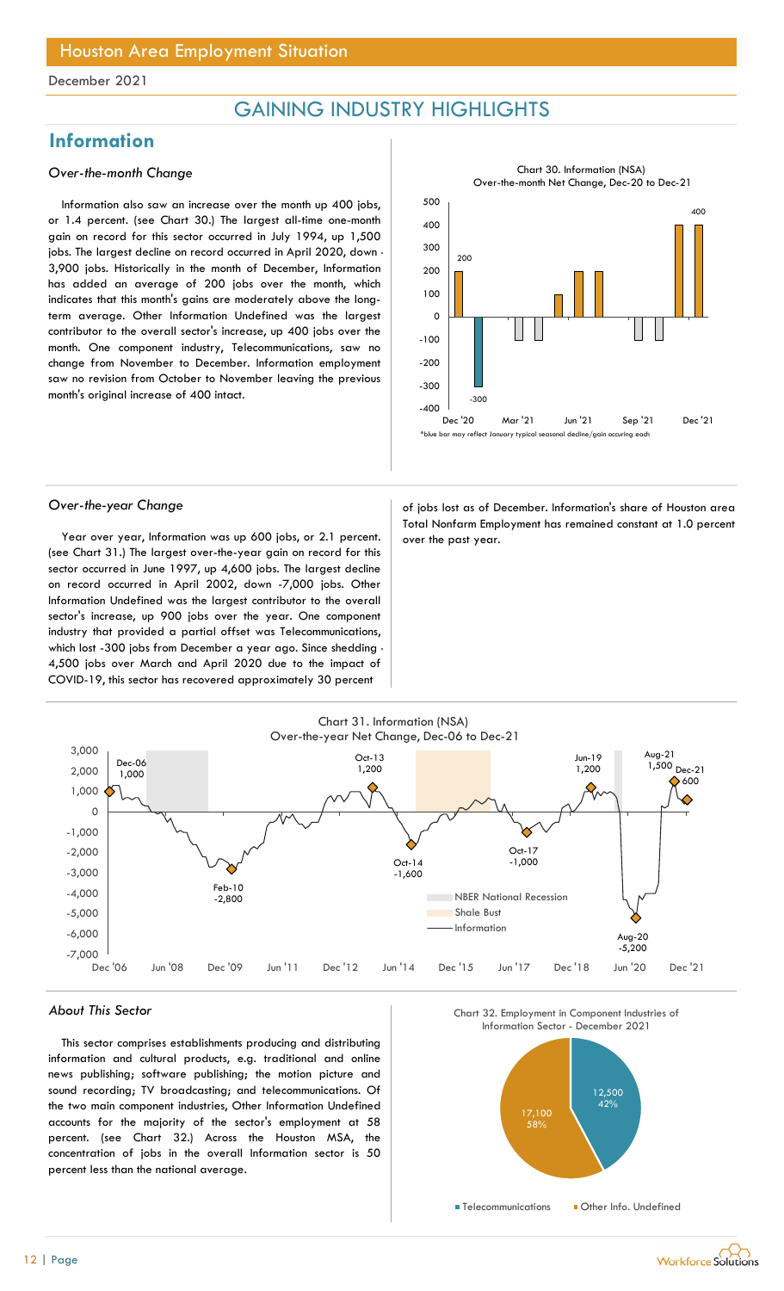## GAINING INDUSTRY HIGHLIGHTS

## **Information**

### Over-the-month Change

Information also saw an increase over the month up 400 jobs, or 1.4 percent. (see Chart 30.) The largest all-time one-month gain on record for this sector occurred in July 1994, up 1,500 jobs. The largest decline on record occurred in April 2020, down -3,900 jobs. Historically in the month of December, Information has added an average of 200 jobs over the month, which indicates that this month's gains are moderately above the longterm average. Other Information Undefined was the largest contributor to the overall sector's increase, up 400 jobs over the month. One component industry, Telecommunications, saw no change from November to December. Information employment saw no revision from October to November leaving the previous month's original increase of 400 intact.



Year over year, Information was up 600 jobs, or 2.1 percent.  $\vert$  over the past year. (see Chart 31.) The largest over-the-year gain on record for this sector occurred in June 1997, up 4,600 jobs. The largest decline on record occurred in April 2002, down -7,000 jobs. Other Information Undefined was the largest contributor to the overall sector's increase, up 900 jobs over the year. One component industry that provided a partial offset was Telecommunications, which lost -300 jobs from December a year ago. Since shedding - 4,500 jobs over March and April 2020 due to the impact of COVID-19, this sector has recovered approximately 30 percent

Over-the-year Change and a state of jobs lost as of December. Information's share of Houston area Total Nonfarm Employment has remained constant at 1.0 percent



### About This Sector

This sector comprises establishments producing and distributing information and cultural products, e.g. traditional and online news publishing; software publishing; the motion picture and sound recording; TV broadcasting; and telecommunications. Of the two main component industries, Other Information Undefined accounts for the majority of the sector's employment at 58 percent. (see Chart 32.) Across the Houston MSA, the concentration of jobs in the overall Information sector is 50 percent less than the national average.





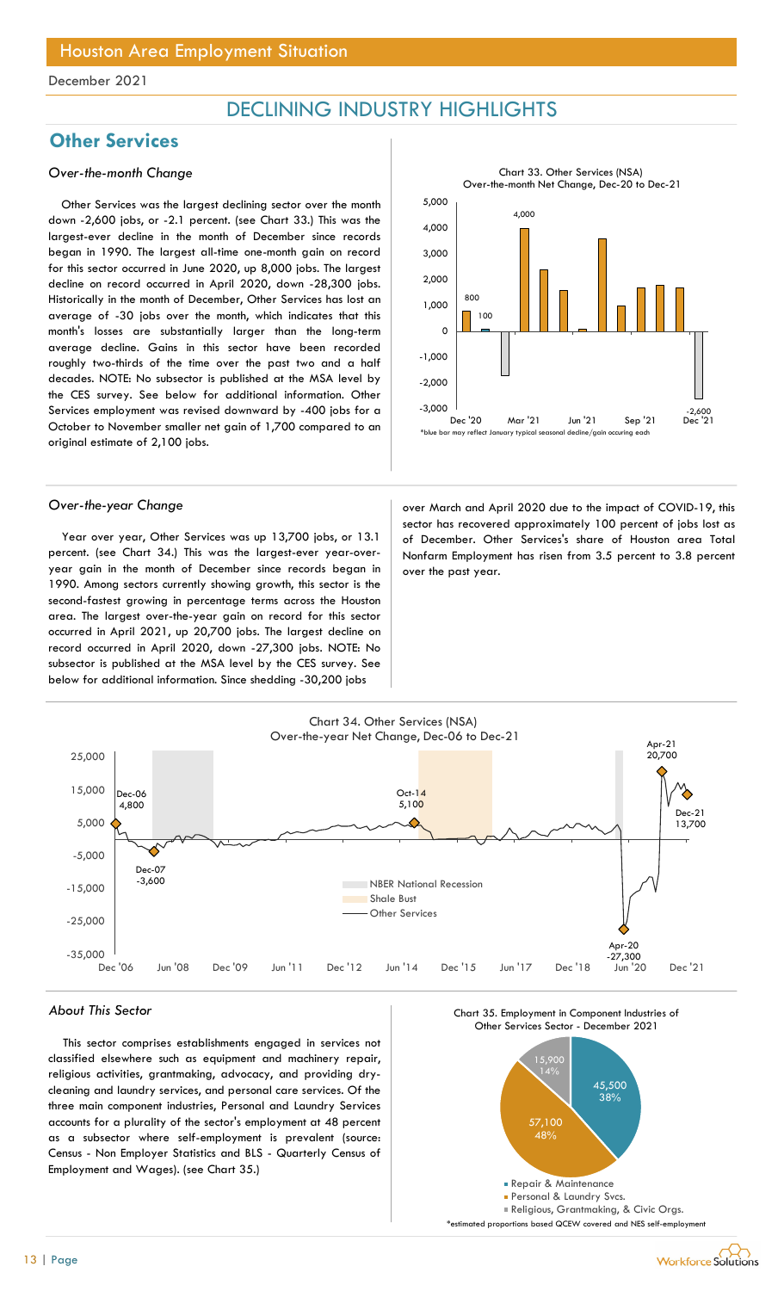## DECLINING INDUSTRY HIGHLIGHTS

5,000

## **Other Services**

### Over-the-month Change

Other Services was the largest declining sector over the month down -2,600 jobs, or -2.1 percent. (see Chart 33.) This was the largest-ever decline in the month of December since records began in 1990. The largest all-time one-month gain on record for this sector occurred in June 2020, up 8,000 jobs. The largest decline on record occurred in April 2020, down -28,300 jobs. Historically in the month of December, Other Services has lost an average of -30 jobs over the month, which indicates that this month's losses are substantially larger than the long-term average decline. Gains in this sector have been recorded roughly two-thirds of the time over the past two and a half decades. NOTE: No subsector is published at the MSA level by the CES survey. See below for additional information. Other Services employment was revised downward by -400 jobs for a October to November smaller net gain of 1,700 compared to an original estimate of 2,100 jobs.

Year over year, Other Services was up 13,700 jobs, or 13.1 percent. (see Chart 34.) This was the largest-ever year-overyear gain in the month of December since records began in 1990. Among sectors currently showing growth, this sector is the second-fastest growing in percentage terms across the Houston area. The largest over-the-year gain on record for this sector occurred in April 2021, up 20,700 jobs. The largest decline on record occurred in April 2020, down -27,300 jobs. NOTE: No subsector is published at the MSA level by the CES survey. See below for additional information. Since shedding -30,200 jobs

Over-the-year Change and Sover March and April 2020 due to the impact of COVID-19, this sector has recovered approximately 100 percent of jobs lost as of December. Other Services's share of Houston area Total  $-3,000$   $-2,600$ -2,000 Dec '20 Mar '21 Jun '21 Sep '21 Dec '21 \*blue bar may reflect January typical seasonal decline/gain occuring each year

800 100

4,000

Nonfarm Employment has risen from 3.5 percent to 3.8 percent

 $\begin{array}{|c|c|c|c|c|}\n\hline\n\text{---} & \text{---} & \text{---} & \text{---} \\
\hline\n\text{---} & \text{---} & \text{---} & \text{---} & \text{---} & \text{---} \\
\hline\n\end{array}$ 

-1,000

1,000

2,000

3,000

Chart 33. Other Services (NSA) Over-the-month Net Change, Dec-20 to Dec-21

○ ├<del>────────────────</del>



over the past year.

### About This Sector

This sector comprises establishments engaged in services not classified elsewhere such as equipment and machinery repair, religious activities, grantmaking, advocacy, and providing drycleaning and laundry services, and personal care services. Of the three main component industries, Personal and Laundry Services accounts for a plurality of the sector's employment at 48 percent as a subsector where self-employment is prevalent (source: Census - Non Employer Statistics and BLS - Quarterly Census of Employment and Wages). (see Chart 35.)



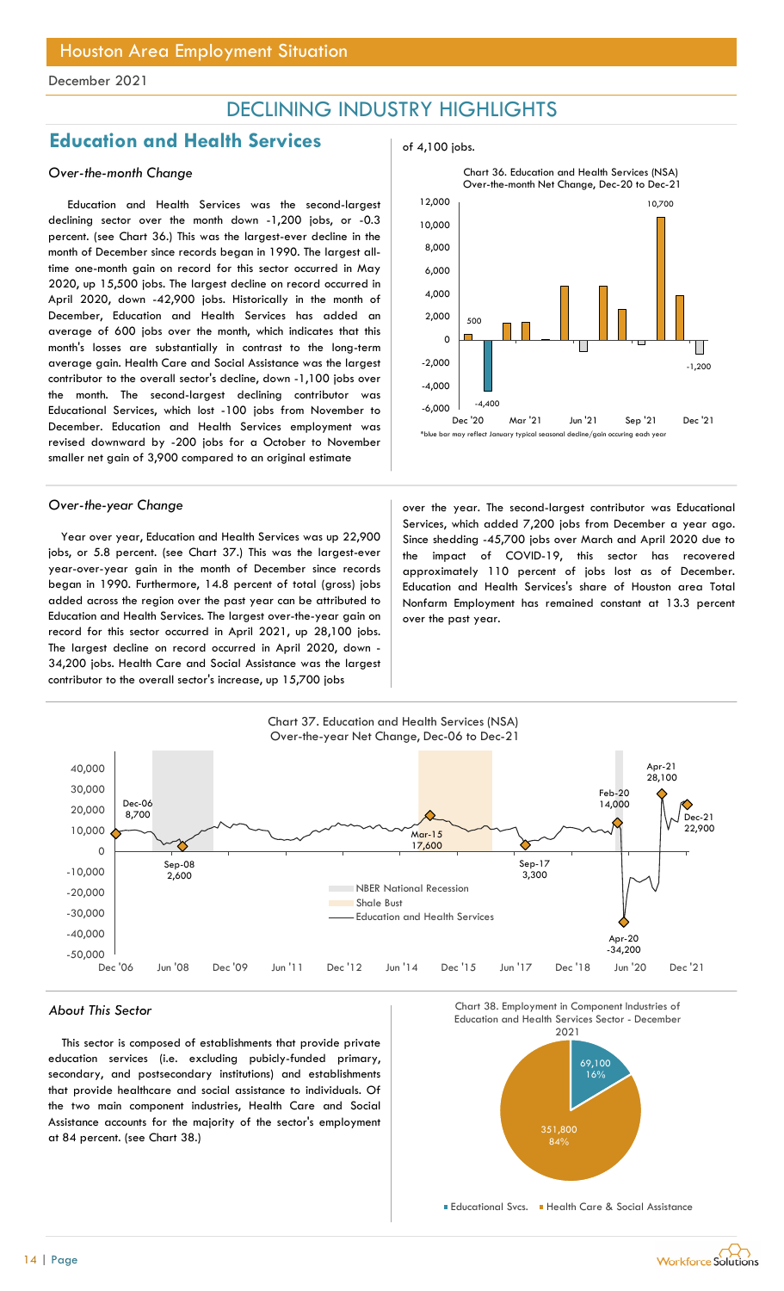## DECLINING INDUSTRY HIGHLIGHTS

## Education and Health Services and  $\frac{1}{2}$  of 4,100 jobs.

### Over-the-month Change

Education and Health Services was the second-largest declining sector over the month down -1,200 jobs, or -0.3 percent. (see Chart 36.) This was the largest-ever decline in the month of December since records began in 1990. The largest alltime one-month gain on record for this sector occurred in May 2020, up 15,500 jobs. The largest decline on record occurred in April 2020, down -42,900 jobs. Historically in the month of December, Education and Health Services has added an average of 600 jobs over the month, which indicates that this month's losses are substantially in contrast to the long-term average gain. Health Care and Social Assistance was the largest contributor to the overall sector's decline, down -1,100 jobs over the month. The second-largest declining contributor was Educational Services, which lost -100 jobs from November to December. Education and Health Services employment was revised downward by -200 jobs for a October to November smaller net gain of 3,900 compared to an original estimate

Year over year, Education and Health Services was up 22,900 jobs, or 5.8 percent. (see Chart 37.) This was the largest-ever year-over-year gain in the month of December since records began in 1990. Furthermore, 14.8 percent of total (gross) jobs added across the region over the past year can be attributed to Education and Health Services. The largest over-the-year gain on record for this sector occurred in April 2021, up 28,100 jobs. The largest decline on record occurred in April 2020, down - 34,200 jobs. Health Care and Social Assistance was the largest contributor to the overall sector's increase, up 15,700 jobs





Over-the-year Change and a second-largest contributor was Educational Services, which added 7,200 jobs from December a year ago. Since shedding -45,700 jobs over March and April 2020 due to the impact of COVID-19, this sector has recovered approximately 110 percent of jobs lost as of December. Education and Health Services's share of Houston area Total Nonfarm Employment has remained constant at 13.3 percent over the past year.



This sector is composed of establishments that provide private education services (i.e. excluding pubicly-funded primary, secondary, and postsecondary institutions) and establishments that provide healthcare and social assistance to individuals. Of the two main component industries, Health Care and Social Assistance accounts for the majority of the sector's employment at 84 percent. (see Chart 38.)





**Educational Svcs. • Health Care & Social Assistance** 

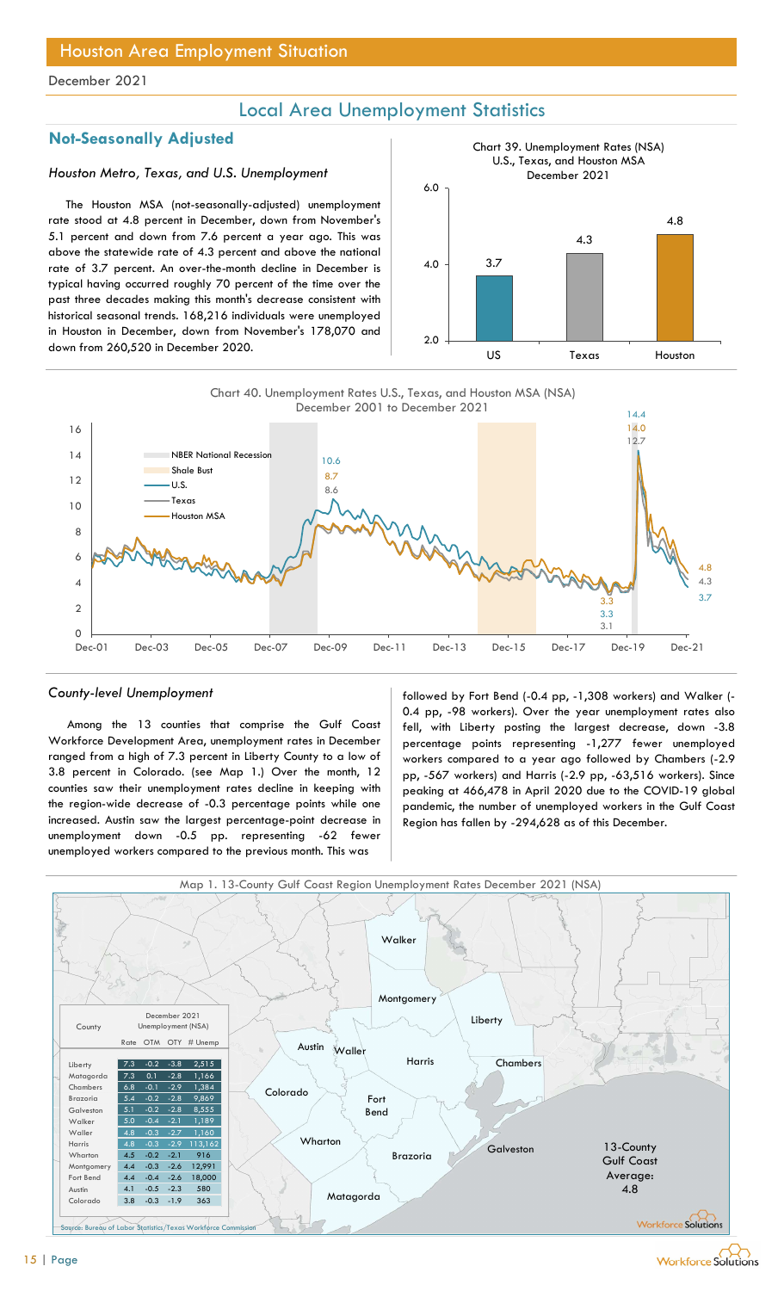## Local Area Unemployment Statistics

## Not-Seasonally Adjusted

### Houston Metro, Texas, and U.S. Unemployment

The Houston MSA (not-seasonally-adjusted) unemployment rate stood at 4.8 percent in December, down from November's 5.1 percent and down from 7.6 percent a year ago. This was above the statewide rate of 4.3 percent and above the national rate of 3.7 percent. An over-the-month decline in December is typical having occurred roughly 70 percent of the time over the past three decades making this month's decrease consistent with historical seasonal trends. 168,216 individuals were unemployed in Houston in December, down from November's 178,070 and down from 260,520 in December 2020.





Among the 13 counties that comprise the Gulf Coast Workforce Development Area, unemployment rates in December ranged from a high of 7.3 percent in Liberty County to a low of 3.8 percent in Colorado. (see Map 1.) Over the month, 12 counties saw their unemployment rates decline in keeping with the region-wide decrease of -0.3 percentage points while one increased. Austin saw the largest percentage-point decrease in unemployment down -0.5 pp. representing -62 fewer unemployed workers compared to the previous month. This was

County-level Unemployment The state of the followed by Fort Bend (-0.4 pp, -1,308 workers) and Walker (-0.4 pp, -98 workers). Over the year unemployment rates also fell, with Liberty posting the largest decrease, down -3.8 percentage points representing -1,277 fewer unemployed workers compared to a year ago followed by Chambers (-2.9 pp, -567 workers) and Harris (-2.9 pp, -63,516 workers). Since peaking at 466,478 in April 2020 due to the COVID-19 global pandemic, the number of unemployed workers in the Gulf Coast Region has fallen by -294,628 as of this December.



Workforce Solutions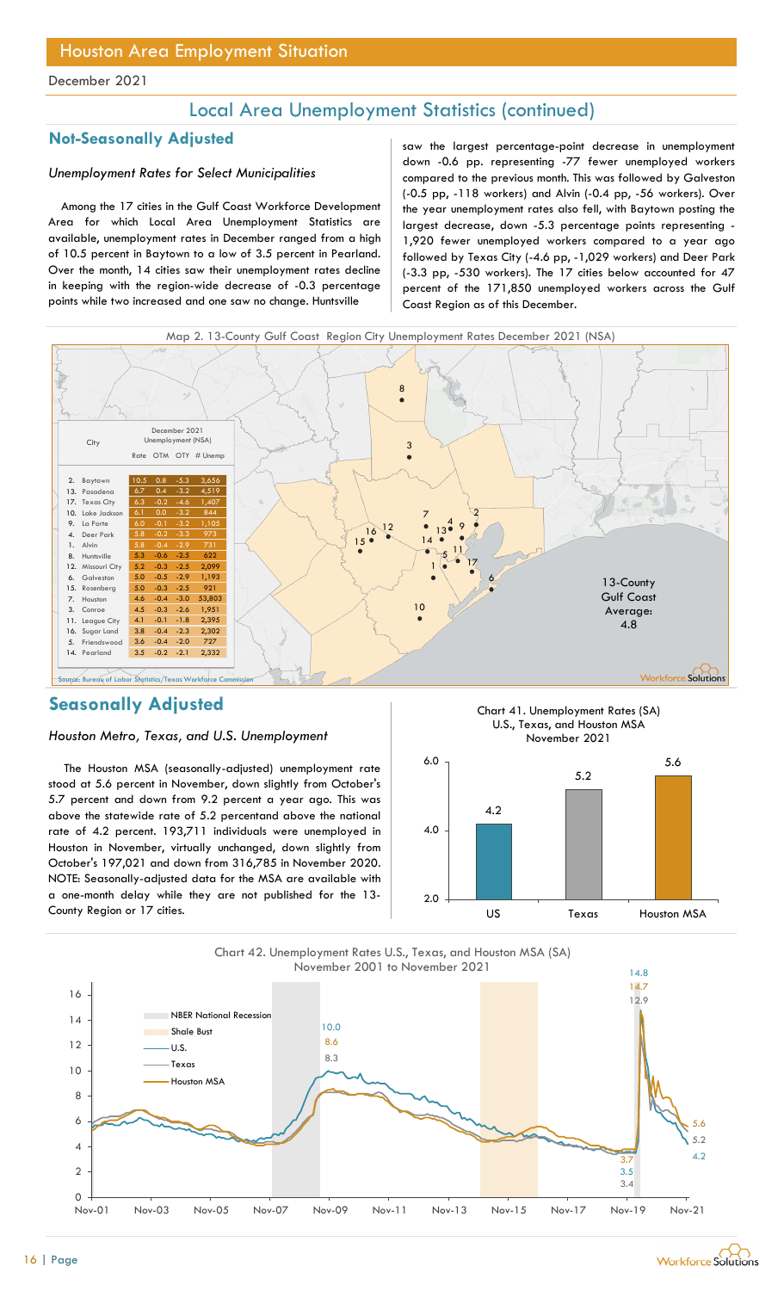## Local Area Unemployment Statistics (continued)

## Unemployment Rates for Select Municipalities

Among the 17 cities in the Gulf Coast Workforce Development Area for which Local Area Unemployment Statistics are available, unemployment rates in December ranged from a high of 10.5 percent in Baytown to a low of 3.5 percent in Pearland. Over the month, 14 cities saw their unemployment rates decline in keeping with the region-wide decrease of -0.3 percentage points while two increased and one saw no change. Huntsville

Not-Seasonally Adjusted saw the largest percentage-point decrease in unemployment down -0.6 pp. representing -77 fewer unemployed workers compared to the previous month. This was followed by Galveston (-0.5 pp, -118 workers) and Alvin (-0.4 pp, -56 workers). Over the year unemployment rates also fell, with Baytown posting the largest decrease, down -5.3 percentage points representing - 1,920 fewer unemployed workers compared to a year ago followed by Texas City (-4.6 pp, -1,029 workers) and Deer Park (-3.3 pp, -530 workers). The 17 cities below accounted for 47 percent of the 171,850 unemployed workers across the Gulf Coast Region as of this December.





## Seasonally Adjusted

### Houston Metro, Texas, and U.S. Unemployment

The Houston MSA (seasonally-adjusted) unemployment rate stood at 5.6 percent in November, down slightly from October's 5.7 percent and down from 9.2 percent a year ago. This was above the statewide rate of 5.2 percentand above the national rate of 4.2 percent. 193,711 individuals were unemployed in Houston in November, virtually unchanged, down slightly from October's 197,021 and down from 316,785 in November 2020. NOTE: Seasonally-adjusted data for the MSA are available with a one-month delay while they are not published for the 13- County Region or 17 cities.





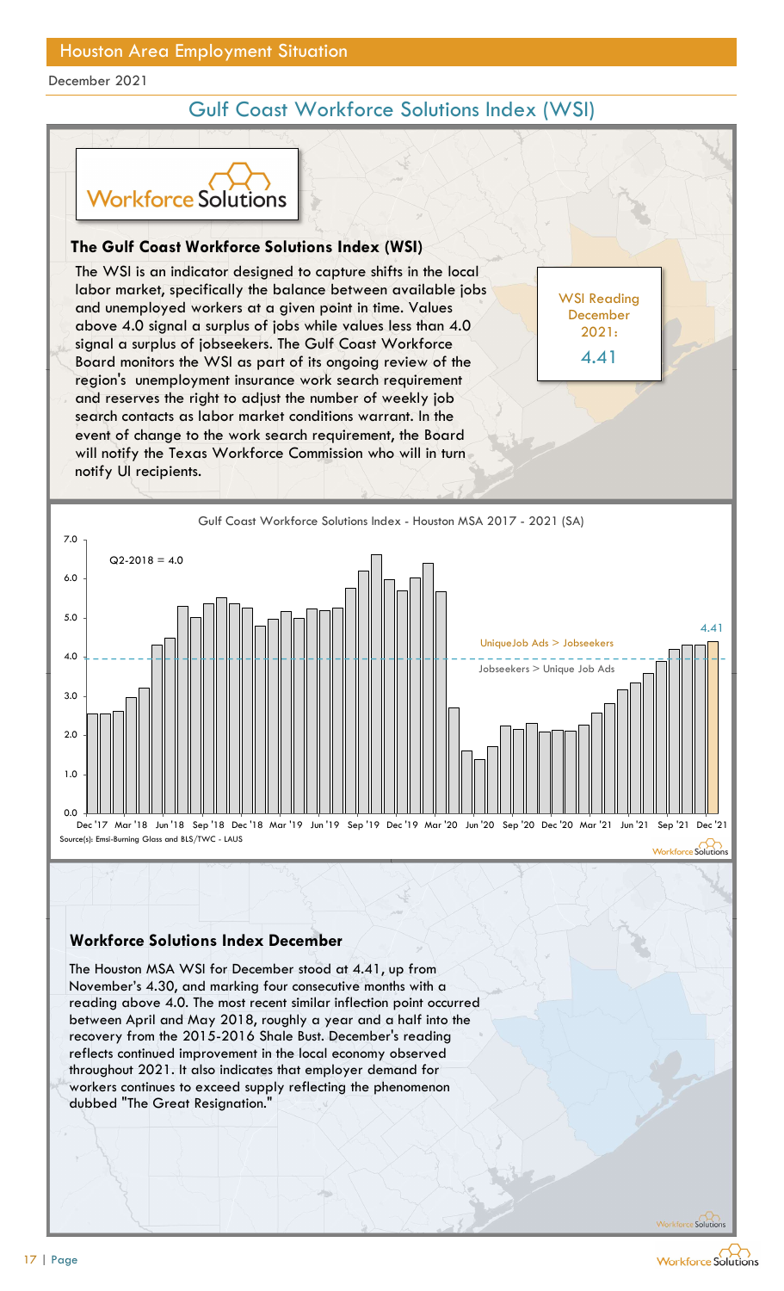## Gulf Coast Workforce Solutions Index (WSI)

WSI Reading December 2021:

4.41



## The Gulf Coast Workforce Solutions Index (WSI)

The WSI is an indicator designed to capture shifts in the local labor market, specifically the balance between available jobs and unemployed workers at a given point in time. Values above 4.0 signal a surplus of jobs while values less than 4.0 signal a surplus of jobseekers. The Gulf Coast Workforce Board monitors the WSI as part of its ongoing review of the 4.41 region's unemployment insurance work search requirement and reserves the right to adjust the number of weekly job search contacts as labor market conditions warrant. In the event of change to the work search requirement, the Board will notify the Texas Workforce Commission who will in turn notify UI recipients. **Sulf Coast Workforce Solutions Index (WSI)**<br>
WSI is an indicator designed to capture shifts in the local<br>
marrket, specifically the balance between available jobs<br>
memployed workers at a given point in time. Values<br>
4.0 s



## Workforce Solutions Index December

The Houston MSA WSI for December stood at 4.41, up from November's 4.30, and marking four consecutive months with a reading above 4.0. The most recent similar inflection point occurred recovery from the 2015-2016 Shale Bust. December's reading reflects continued improvement in the local economy observed throughout 2021. It also indicates that employer demand for workers continues to exceed supply reflecting the phenomenon decrities the United Secretive and the Great Resignation.<br>
The Great Residential Secretive Critical Secretive Critical Secretive Critical Secretive Critical Secretive C<br>
dubbed "The Houston MSA WSI for December stood at 4.

Workforce Solutions